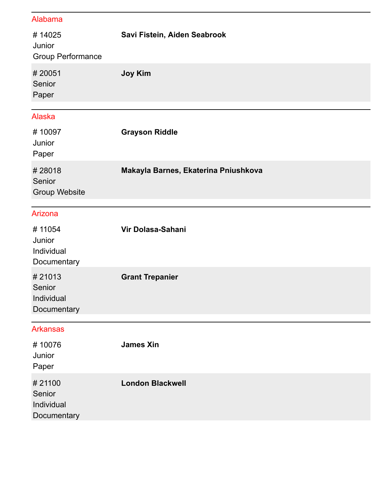## Alabama

| #14025<br>Junior<br><b>Group Performance</b>  | Savi Fistein, Aiden Seabrook         |
|-----------------------------------------------|--------------------------------------|
| #20051<br>Senior<br>Paper                     | <b>Joy Kim</b>                       |
| <b>Alaska</b>                                 |                                      |
| #10097<br>Junior<br>Paper                     | <b>Grayson Riddle</b>                |
| #28018<br>Senior<br><b>Group Website</b>      | Makayla Barnes, Ekaterina Pniushkova |
| Arizona                                       |                                      |
| #11054<br>Junior<br>Individual<br>Documentary | Vir Dolasa-Sahani                    |
| #21013<br>Senior<br>Individual<br>Documentary | <b>Grant Trepanier</b>               |
| <b>Arkansas</b>                               |                                      |
| #10076<br>Junior<br>Paper                     | <b>James Xin</b>                     |
| #21100<br>Senior<br>Individual<br>Documentary | <b>London Blackwell</b>              |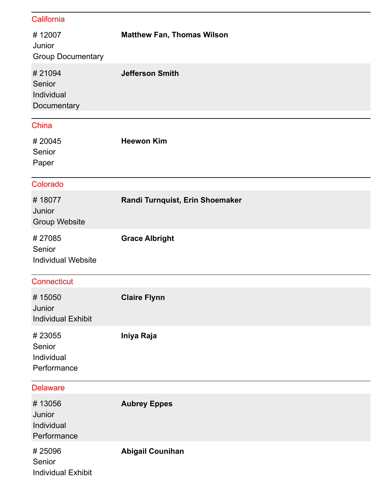| California                                    |                                   |
|-----------------------------------------------|-----------------------------------|
| #12007<br>Junior<br><b>Group Documentary</b>  | <b>Matthew Fan, Thomas Wilson</b> |
| #21094<br>Senior<br>Individual<br>Documentary | <b>Jefferson Smith</b>            |
| China                                         |                                   |
| #20045<br>Senior<br>Paper                     | <b>Heewon Kim</b>                 |
| Colorado                                      |                                   |
| #18077<br>Junior<br><b>Group Website</b>      | Randi Turnquist, Erin Shoemaker   |
| #27085<br>Senior<br><b>Individual Website</b> | <b>Grace Albright</b>             |
| <b>Connecticut</b>                            |                                   |
| #15050<br>Junior<br><b>Individual Exhibit</b> | <b>Claire Flynn</b>               |
| #23055<br>Senior<br>Individual<br>Performance | Iniya Raja                        |
| <b>Delaware</b>                               |                                   |
| #13056<br>Junior<br>Individual<br>Performance | <b>Aubrey Eppes</b>               |
| #25096<br>Senior<br><b>Individual Exhibit</b> | <b>Abigail Counihan</b>           |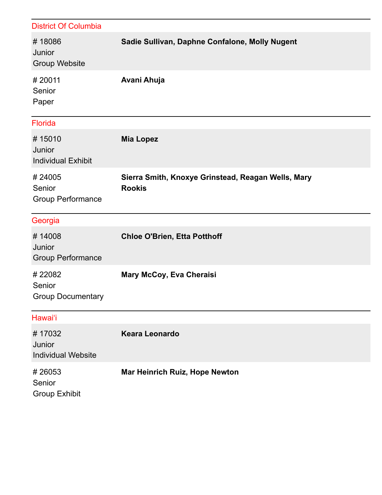| <b>District Of Columbia</b>                   |                                                                     |
|-----------------------------------------------|---------------------------------------------------------------------|
| #18086<br>Junior<br><b>Group Website</b>      | Sadie Sullivan, Daphne Confalone, Molly Nugent                      |
| #20011<br>Senior<br>Paper                     | Avani Ahuja                                                         |
| <b>Florida</b>                                |                                                                     |
| #15010<br>Junior<br><b>Individual Exhibit</b> | <b>Mia Lopez</b>                                                    |
| #24005<br>Senior<br><b>Group Performance</b>  | Sierra Smith, Knoxye Grinstead, Reagan Wells, Mary<br><b>Rookis</b> |
| Georgia                                       |                                                                     |
| #14008<br>Junior<br><b>Group Performance</b>  | <b>Chloe O'Brien, Etta Potthoff</b>                                 |
| #22082<br>Senior<br><b>Group Documentary</b>  | Mary McCoy, Eva Cheraisi                                            |
| Hawai'i                                       |                                                                     |
| #17032<br>Junior<br><b>Individual Website</b> | <b>Keara Leonardo</b>                                               |
| #26053<br>Senior<br><b>Group Exhibit</b>      | <b>Mar Heinrich Ruiz, Hope Newton</b>                               |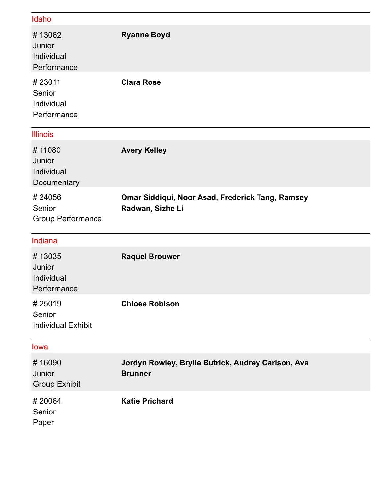| Idaho                                         |                                                                      |
|-----------------------------------------------|----------------------------------------------------------------------|
| #13062<br>Junior<br>Individual<br>Performance | <b>Ryanne Boyd</b>                                                   |
| #23011<br>Senior<br>Individual<br>Performance | <b>Clara Rose</b>                                                    |
| <b>Illinois</b>                               |                                                                      |
| #11080<br>Junior<br>Individual<br>Documentary | <b>Avery Kelley</b>                                                  |
| #24056<br>Senior<br><b>Group Performance</b>  | Omar Siddiqui, Noor Asad, Frederick Tang, Ramsey<br>Radwan, Sizhe Li |
|                                               |                                                                      |
| Indiana                                       |                                                                      |
| #13035<br>Junior<br>Individual<br>Performance | <b>Raquel Brouwer</b>                                                |
| #25019<br>Senior<br><b>Individual Exhibit</b> | <b>Chloee Robison</b>                                                |
| lowa                                          |                                                                      |
| #16090<br>Junior<br><b>Group Exhibit</b>      | Jordyn Rowley, Brylie Butrick, Audrey Carlson, Ava<br><b>Brunner</b> |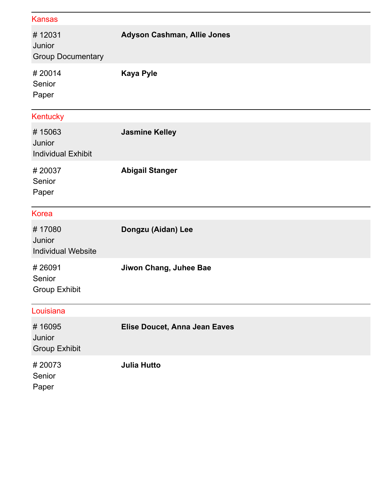| Kansas                                        |                                    |
|-----------------------------------------------|------------------------------------|
| #12031<br>Junior<br><b>Group Documentary</b>  | <b>Adyson Cashman, Allie Jones</b> |
| #20014<br>Senior<br>Paper                     | <b>Kaya Pyle</b>                   |
| Kentucky                                      |                                    |
| #15063<br>Junior<br><b>Individual Exhibit</b> | <b>Jasmine Kelley</b>              |
| #20037<br>Senior<br>Paper                     | <b>Abigail Stanger</b>             |
| <b>Korea</b>                                  |                                    |
| #17080<br>Junior<br><b>Individual Website</b> | Dongzu (Aidan) Lee                 |
| #26091<br>Senior<br><b>Group Exhibit</b>      | Jiwon Chang, Juhee Bae             |
| Louisiana                                     |                                    |
| #16095<br>Junior<br><b>Group Exhibit</b>      | Elise Doucet, Anna Jean Eaves      |
| #20073<br>Senior<br>Paper                     | <b>Julia Hutto</b>                 |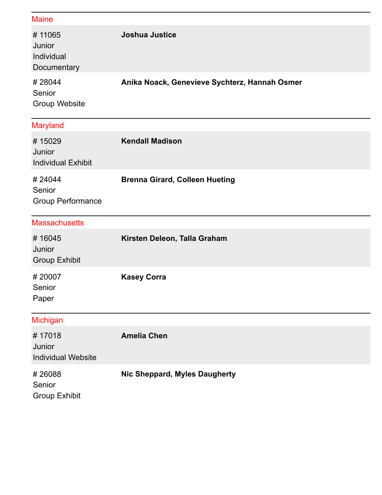| <b>Maine</b>                                  |                                               |
|-----------------------------------------------|-----------------------------------------------|
| #11065<br>Junior<br>Individual<br>Documentary | <b>Joshua Justice</b>                         |
| #28044<br>Senior<br><b>Group Website</b>      | Anika Noack, Genevieve Sychterz, Hannah Osmer |
| <b>Maryland</b>                               |                                               |
| #15029<br>Junior<br><b>Individual Exhibit</b> | <b>Kendall Madison</b>                        |
| #24044<br>Senior<br><b>Group Performance</b>  | <b>Brenna Girard, Colleen Hueting</b>         |
| <b>Massachusetts</b>                          |                                               |
| #16045<br>Junior<br><b>Group Exhibit</b>      | Kirsten Deleon, Talla Graham                  |
| #20007<br>Senior<br>Paper                     | <b>Kasey Corra</b>                            |
| Michigan                                      |                                               |
| #17018<br>Junior<br><b>Individual Website</b> | <b>Amelia Chen</b>                            |
| #26088<br>Senior                              | Nic Sheppard, Myles Daugherty                 |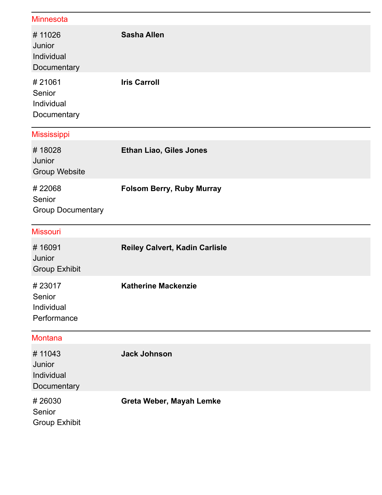| <b>Minnesota</b>                              |                                       |
|-----------------------------------------------|---------------------------------------|
| #11026<br>Junior<br>Individual<br>Documentary | <b>Sasha Allen</b>                    |
| #21061<br>Senior<br>Individual<br>Documentary | <b>Iris Carroll</b>                   |
| <b>Mississippi</b>                            |                                       |
| #18028<br>Junior<br><b>Group Website</b>      | <b>Ethan Liao, Giles Jones</b>        |
| #22068<br>Senior<br><b>Group Documentary</b>  | <b>Folsom Berry, Ruby Murray</b>      |
|                                               |                                       |
| <b>Missouri</b>                               |                                       |
| #16091<br>Junior<br><b>Group Exhibit</b>      | <b>Reiley Calvert, Kadin Carlisle</b> |
| #23017<br>Senior<br>Individual<br>Performance | <b>Katherine Mackenzie</b>            |
| <b>Montana</b>                                |                                       |
| #11043<br>Junior<br>Individual<br>Documentary | <b>Jack Johnson</b>                   |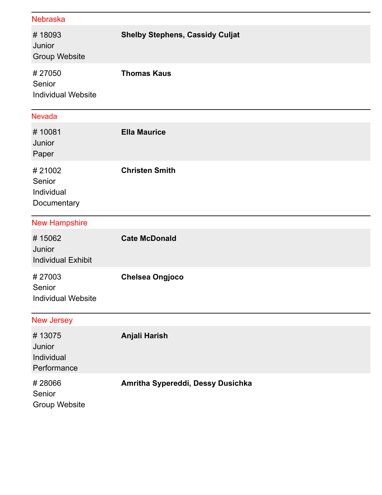| <b>Nebraska</b>                               |                                        |
|-----------------------------------------------|----------------------------------------|
| #18093<br>Junior<br><b>Group Website</b>      | <b>Shelby Stephens, Cassidy Culjat</b> |
| #27050<br>Senior<br><b>Individual Website</b> | <b>Thomas Kaus</b>                     |
| <b>Nevada</b>                                 |                                        |
| #10081<br>Junior<br>Paper                     | <b>Ella Maurice</b>                    |
| #21002<br>Senior<br>Individual<br>Documentary | <b>Christen Smith</b>                  |
|                                               |                                        |
| <b>New Hampshire</b>                          |                                        |
| #15062<br>Junior<br><b>Individual Exhibit</b> | <b>Cate McDonald</b>                   |
| #27003<br>Senior<br><b>Individual Website</b> | <b>Chelsea Ongjoco</b>                 |
| <b>New Jersey</b>                             |                                        |
| #13075<br>Junior<br>Individual<br>Performance | Anjali Harish                          |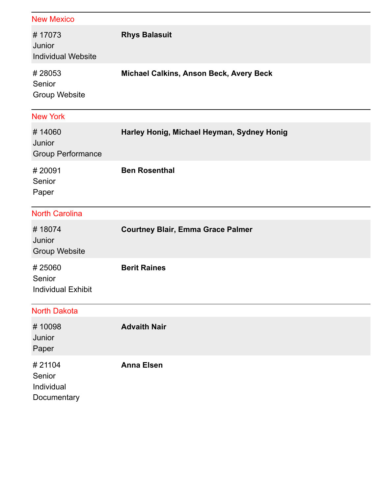| <b>New Mexico</b>                             |                                            |
|-----------------------------------------------|--------------------------------------------|
| #17073<br>Junior<br><b>Individual Website</b> | <b>Rhys Balasuit</b>                       |
| #28053<br>Senior<br><b>Group Website</b>      | Michael Calkins, Anson Beck, Avery Beck    |
| <b>New York</b>                               |                                            |
| #14060<br>Junior<br><b>Group Performance</b>  | Harley Honig, Michael Heyman, Sydney Honig |
| #20091<br>Senior<br>Paper                     | <b>Ben Rosenthal</b>                       |
| <b>North Carolina</b>                         |                                            |
| #18074<br>Junior<br><b>Group Website</b>      | <b>Courtney Blair, Emma Grace Palmer</b>   |
| #25060<br>Senior<br><b>Individual Exhibit</b> | <b>Berit Raines</b>                        |
| <b>North Dakota</b>                           |                                            |
| #10098<br>Junior<br>Paper                     | <b>Advaith Nair</b>                        |
| #21104<br>Senior<br>Individual<br>Documentary | <b>Anna Elsen</b>                          |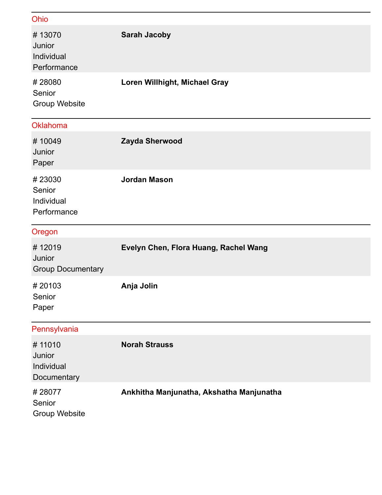| Ohio                                          |                                       |
|-----------------------------------------------|---------------------------------------|
| #13070<br>Junior<br>Individual<br>Performance | <b>Sarah Jacoby</b>                   |
| #28080<br>Senior<br><b>Group Website</b>      | Loren Willhight, Michael Gray         |
| Oklahoma                                      |                                       |
| #10049<br>Junior<br>Paper                     | Zayda Sherwood                        |
| #23030<br>Senior<br>Individual<br>Performance | <b>Jordan Mason</b>                   |
|                                               |                                       |
| Oregon                                        |                                       |
| #12019<br>Junior<br><b>Group Documentary</b>  | Evelyn Chen, Flora Huang, Rachel Wang |
| #20103<br>Senior<br>Paper                     | Anja Jolin                            |
| Pennsylvania                                  |                                       |
| #11010<br>Junior<br>Individual<br>Documentary | <b>Norah Strauss</b>                  |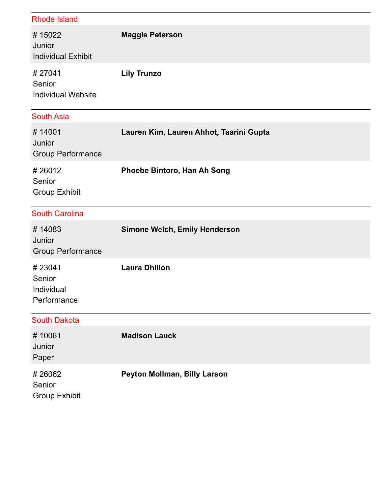| <b>Rhode Island</b>                           |                                         |
|-----------------------------------------------|-----------------------------------------|
| #15022<br>Junior<br><b>Individual Exhibit</b> | <b>Maggie Peterson</b>                  |
| #27041<br>Senior<br><b>Individual Website</b> | <b>Lily Trunzo</b>                      |
| <b>South Asia</b>                             |                                         |
| #14001<br>Junior<br><b>Group Performance</b>  | Lauren Kim, Lauren Ahhot, Taarini Gupta |
| #26012<br>Senior<br><b>Group Exhibit</b>      | Phoebe Bintoro, Han Ah Song             |
| <b>South Carolina</b>                         |                                         |
| #14083<br>Junior<br><b>Group Performance</b>  | <b>Simone Welch, Emily Henderson</b>    |
| #23041<br>Senior                              | <b>Laura Dhillon</b>                    |
| Individual<br>Performance                     |                                         |
| <b>South Dakota</b>                           |                                         |
| #10061<br>Junior<br>Paper                     | <b>Madison Lauck</b>                    |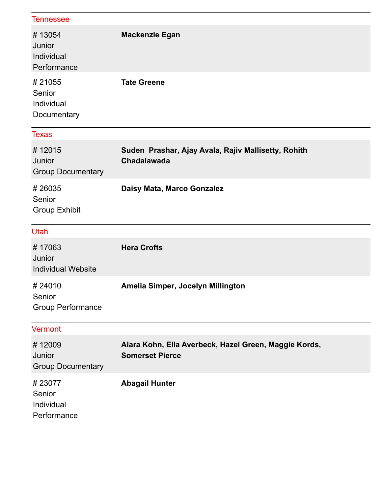| <b>Tennessee</b>                              |                                                                                 |
|-----------------------------------------------|---------------------------------------------------------------------------------|
| #13054<br>Junior<br>Individual<br>Performance | <b>Mackenzie Egan</b>                                                           |
| #21055<br>Senior<br>Individual<br>Documentary | <b>Tate Greene</b>                                                              |
| <b>Texas</b>                                  |                                                                                 |
| #12015<br>Junior<br><b>Group Documentary</b>  | Suden Prashar, Ajay Avala, Rajiv Mallisetty, Rohith<br>Chadalawada              |
| #26035<br>Senior<br><b>Group Exhibit</b>      | Daisy Mata, Marco Gonzalez                                                      |
|                                               |                                                                                 |
| Utah                                          |                                                                                 |
| #17063<br>Junior<br><b>Individual Website</b> | <b>Hera Crofts</b>                                                              |
| #24010<br>Senior<br><b>Group Performance</b>  | Amelia Simper, Jocelyn Millington                                               |
| <b>Vermont</b>                                |                                                                                 |
| #12009<br>Junior<br><b>Group Documentary</b>  | Alara Kohn, Ella Averbeck, Hazel Green, Maggie Kords,<br><b>Somerset Pierce</b> |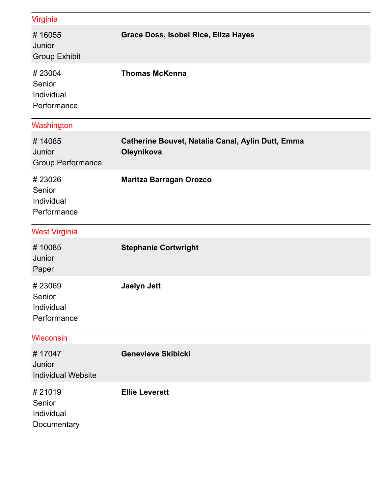| Virginia                                      |                                                                 |
|-----------------------------------------------|-----------------------------------------------------------------|
| #16055<br>Junior<br><b>Group Exhibit</b>      | <b>Grace Doss, Isobel Rice, Eliza Hayes</b>                     |
| #23004<br>Senior<br>Individual<br>Performance | <b>Thomas McKenna</b>                                           |
| Washington                                    |                                                                 |
| #14085<br>Junior<br><b>Group Performance</b>  | Catherine Bouvet, Natalia Canal, Aylin Dutt, Emma<br>Oleynikova |
| #23026<br>Senior<br>Individual<br>Performance | <b>Maritza Barragan Orozco</b>                                  |
| <b>West Virginia</b>                          |                                                                 |
| #10085<br>Junior<br>Paper                     | <b>Stephanie Cortwright</b>                                     |
| #23069<br>Senior<br>Individual<br>Performance | <b>Jaelyn Jett</b>                                              |
| <b>Wisconsin</b>                              |                                                                 |
| #17047<br>Junior<br><b>Individual Website</b> | <b>Genevieve Skibicki</b>                                       |
| #21019<br>Senior<br>Individual<br>Documentary | <b>Ellie Leverett</b>                                           |